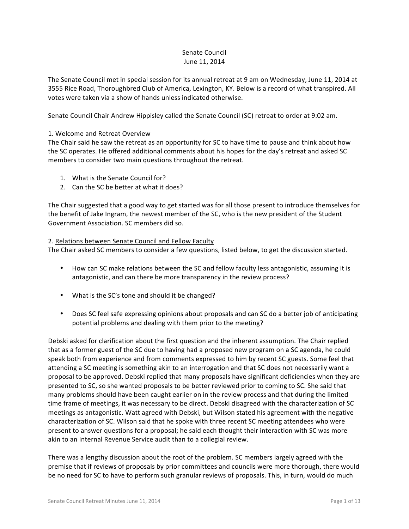#### Senate Council June 11, 2014

The Senate Council met in special session for its annual retreat at 9 am on Wednesday, June 11, 2014 at 3555 Rice Road, Thoroughbred Club of America, Lexington, KY. Below is a record of what transpired. All votes were taken via a show of hands unless indicated otherwise.

Senate Council Chair Andrew Hippisley called the Senate Council (SC) retreat to order at 9:02 am.

### 1. Welcome and Retreat Overview

The Chair said he saw the retreat as an opportunity for SC to have time to pause and think about how the SC operates. He offered additional comments about his hopes for the day's retreat and asked SC members to consider two main questions throughout the retreat.

- 1. What is the Senate Council for?
- 2. Can the SC be better at what it does?

The Chair suggested that a good way to get started was for all those present to introduce themselves for the benefit of Jake Ingram, the newest member of the SC, who is the new president of the Student Government Association. SC members did so.

### 2. Relations between Senate Council and Fellow Faculty

The Chair asked SC members to consider a few questions, listed below, to get the discussion started.

- How can SC make relations between the SC and fellow faculty less antagonistic, assuming it is antagonistic, and can there be more transparency in the review process?
- What is the SC's tone and should it be changed?
- Does SC feel safe expressing opinions about proposals and can SC do a better job of anticipating potential problems and dealing with them prior to the meeting?

Debski asked for clarification about the first question and the inherent assumption. The Chair replied that as a former guest of the SC due to having had a proposed new program on a SC agenda, he could speak both from experience and from comments expressed to him by recent SC guests. Some feel that attending a SC meeting is something akin to an interrogation and that SC does not necessarily want a proposal to be approved. Debski replied that many proposals have significant deficiencies when they are presented to SC, so she wanted proposals to be better reviewed prior to coming to SC. She said that many problems should have been caught earlier on in the review process and that during the limited time frame of meetings, it was necessary to be direct. Debski disagreed with the characterization of SC meetings as antagonistic. Watt agreed with Debski, but Wilson stated his agreement with the negative characterization of SC. Wilson said that he spoke with three recent SC meeting attendees who were present to answer questions for a proposal; he said each thought their interaction with SC was more akin to an Internal Revenue Service audit than to a collegial review.

There was a lengthy discussion about the root of the problem. SC members largely agreed with the premise that if reviews of proposals by prior committees and councils were more thorough, there would be no need for SC to have to perform such granular reviews of proposals. This, in turn, would do much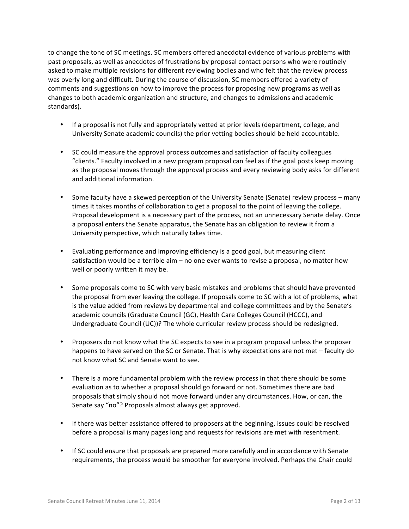to change the tone of SC meetings. SC members offered anecdotal evidence of various problems with past proposals, as well as anecdotes of frustrations by proposal contact persons who were routinely asked to make multiple revisions for different reviewing bodies and who felt that the review process was overly long and difficult. During the course of discussion, SC members offered a variety of comments and suggestions on how to improve the process for proposing new programs as well as changes to both academic organization and structure, and changes to admissions and academic standards).

- If a proposal is not fully and appropriately vetted at prior levels (department, college, and University Senate academic councils) the prior vetting bodies should be held accountable.
- SC could measure the approval process outcomes and satisfaction of faculty colleagues "clients." Faculty involved in a new program proposal can feel as if the goal posts keep moving as the proposal moves through the approval process and every reviewing body asks for different and additional information.
- Some faculty have a skewed perception of the University Senate (Senate) review process many times it takes months of collaboration to get a proposal to the point of leaving the college. Proposal development is a necessary part of the process, not an unnecessary Senate delay. Once a proposal enters the Senate apparatus, the Senate has an obligation to review it from a University perspective, which naturally takes time.
- Evaluating performance and improving efficiency is a good goal, but measuring client satisfaction would be a terrible aim – no one ever wants to revise a proposal, no matter how well or poorly written it may be.
- Some proposals come to SC with very basic mistakes and problems that should have prevented the proposal from ever leaving the college. If proposals come to SC with a lot of problems, what is the value added from reviews by departmental and college committees and by the Senate's academic councils (Graduate Council (GC), Health Care Colleges Council (HCCC), and Undergraduate Council (UC))? The whole curricular review process should be redesigned.
- Proposers do not know what the SC expects to see in a program proposal unless the proposer happens to have served on the SC or Senate. That is why expectations are not met – faculty do not know what SC and Senate want to see.
- There is a more fundamental problem with the review process in that there should be some evaluation as to whether a proposal should go forward or not. Sometimes there are bad proposals that simply should not move forward under any circumstances. How, or can, the Senate say "no"? Proposals almost always get approved.
- If there was better assistance offered to proposers at the beginning, issues could be resolved before a proposal is many pages long and requests for revisions are met with resentment.
- If SC could ensure that proposals are prepared more carefully and in accordance with Senate requirements, the process would be smoother for everyone involved. Perhaps the Chair could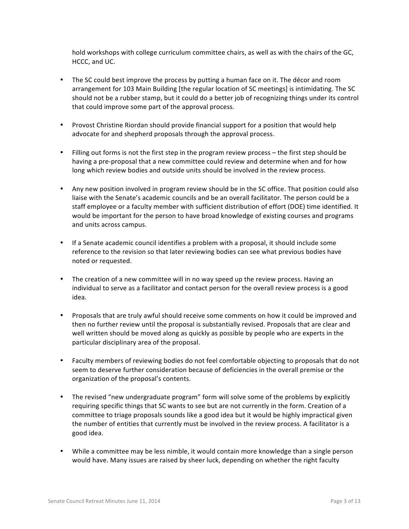hold workshops with college curriculum committee chairs, as well as with the chairs of the GC, HCCC, and UC.

- The SC could best improve the process by putting a human face on it. The décor and room arrangement for 103 Main Building [the regular location of SC meetings] is intimidating. The SC should not be a rubber stamp, but it could do a better job of recognizing things under its control that could improve some part of the approval process.
- Provost Christine Riordan should provide financial support for a position that would help advocate for and shepherd proposals through the approval process.
- Filling out forms is not the first step in the program review process the first step should be having a pre-proposal that a new committee could review and determine when and for how long which review bodies and outside units should be involved in the review process.
- Any new position involved in program review should be in the SC office. That position could also liaise with the Senate's academic councils and be an overall facilitator. The person could be a staff employee or a faculty member with sufficient distribution of effort (DOE) time identified. It would be important for the person to have broad knowledge of existing courses and programs and units across campus.
- If a Senate academic council identifies a problem with a proposal, it should include some reference to the revision so that later reviewing bodies can see what previous bodies have noted or requested.
- The creation of a new committee will in no way speed up the review process. Having an individual to serve as a facilitator and contact person for the overall review process is a good idea.
- Proposals that are truly awful should receive some comments on how it could be improved and then no further review until the proposal is substantially revised. Proposals that are clear and well written should be moved along as quickly as possible by people who are experts in the particular disciplinary area of the proposal.
- Faculty members of reviewing bodies do not feel comfortable objecting to proposals that do not seem to deserve further consideration because of deficiencies in the overall premise or the organization of the proposal's contents.
- The revised "new undergraduate program" form will solve some of the problems by explicitly requiring specific things that SC wants to see but are not currently in the form. Creation of a committee to triage proposals sounds like a good idea but it would be highly impractical given the number of entities that currently must be involved in the review process. A facilitator is a good idea.
- While a committee may be less nimble, it would contain more knowledge than a single person would have. Many issues are raised by sheer luck, depending on whether the right faculty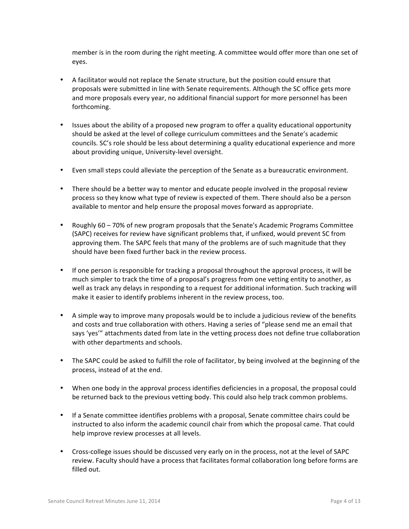member is in the room during the right meeting. A committee would offer more than one set of eyes.

- A facilitator would not replace the Senate structure, but the position could ensure that proposals were submitted in line with Senate requirements. Although the SC office gets more and more proposals every year, no additional financial support for more personnel has been forthcoming.
- Issues about the ability of a proposed new program to offer a quality educational opportunity should be asked at the level of college curriculum committees and the Senate's academic councils. SC's role should be less about determining a quality educational experience and more about providing unique, University-level oversight.
- Even small steps could alleviate the perception of the Senate as a bureaucratic environment.
- There should be a better way to mentor and educate people involved in the proposal review process so they know what type of review is expected of them. There should also be a person available to mentor and help ensure the proposal moves forward as appropriate.
- Roughly 60 70% of new program proposals that the Senate's Academic Programs Committee (SAPC) receives for review have significant problems that, if unfixed, would prevent SC from approving them. The SAPC feels that many of the problems are of such magnitude that they should have been fixed further back in the review process.
- If one person is responsible for tracking a proposal throughout the approval process, it will be much simpler to track the time of a proposal's progress from one vetting entity to another, as well as track any delays in responding to a request for additional information. Such tracking will make it easier to identify problems inherent in the review process, too.
- A simple way to improve many proposals would be to include a judicious review of the benefits and costs and true collaboration with others. Having a series of "please send me an email that says 'yes'" attachments dated from late in the vetting process does not define true collaboration with other departments and schools.
- The SAPC could be asked to fulfill the role of facilitator, by being involved at the beginning of the process, instead of at the end.
- When one body in the approval process identifies deficiencies in a proposal, the proposal could be returned back to the previous vetting body. This could also help track common problems.
- If a Senate committee identifies problems with a proposal, Senate committee chairs could be instructed to also inform the academic council chair from which the proposal came. That could help improve review processes at all levels.
- Cross-college issues should be discussed very early on in the process, not at the level of SAPC review. Faculty should have a process that facilitates formal collaboration long before forms are filled out.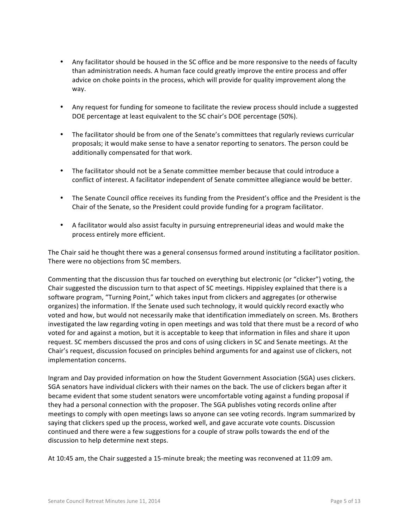- Any facilitator should be housed in the SC office and be more responsive to the needs of faculty than administration needs. A human face could greatly improve the entire process and offer advice on choke points in the process, which will provide for quality improvement along the way.
- Any request for funding for someone to facilitate the review process should include a suggested DOE percentage at least equivalent to the SC chair's DOE percentage (50%).
- The facilitator should be from one of the Senate's committees that regularly reviews curricular proposals; it would make sense to have a senator reporting to senators. The person could be additionally compensated for that work.
- The facilitator should not be a Senate committee member because that could introduce a conflict of interest. A facilitator independent of Senate committee allegiance would be better.
- The Senate Council office receives its funding from the President's office and the President is the Chair of the Senate, so the President could provide funding for a program facilitator.
- A facilitator would also assist faculty in pursuing entrepreneurial ideas and would make the process entirely more efficient.

The Chair said he thought there was a general consensus formed around instituting a facilitator position. There were no objections from SC members.

Commenting that the discussion thus far touched on everything but electronic (or "clicker") voting, the Chair suggested the discussion turn to that aspect of SC meetings. Hippisley explained that there is a software program, "Turning Point," which takes input from clickers and aggregates (or otherwise organizes) the information. If the Senate used such technology, it would quickly record exactly who voted and how, but would not necessarily make that identification immediately on screen. Ms. Brothers investigated the law regarding voting in open meetings and was told that there must be a record of who voted for and against a motion, but it is acceptable to keep that information in files and share it upon request. SC members discussed the pros and cons of using clickers in SC and Senate meetings. At the Chair's request, discussion focused on principles behind arguments for and against use of clickers, not implementation concerns.

Ingram and Day provided information on how the Student Government Association (SGA) uses clickers. SGA senators have individual clickers with their names on the back. The use of clickers began after it became evident that some student senators were uncomfortable voting against a funding proposal if they had a personal connection with the proposer. The SGA publishes voting records online after meetings to comply with open meetings laws so anyone can see voting records. Ingram summarized by saying that clickers sped up the process, worked well, and gave accurate vote counts. Discussion continued and there were a few suggestions for a couple of straw polls towards the end of the discussion to help determine next steps.

At 10:45 am, the Chair suggested a 15-minute break; the meeting was reconvened at 11:09 am.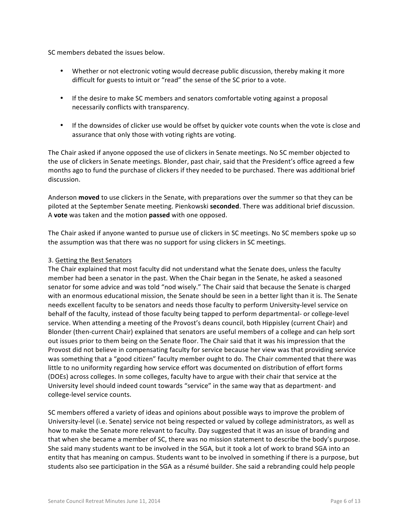SC members debated the issues below.

- Whether or not electronic voting would decrease public discussion, thereby making it more difficult for guests to intuit or "read" the sense of the SC prior to a vote.
- If the desire to make SC members and senators comfortable voting against a proposal necessarily conflicts with transparency.
- If the downsides of clicker use would be offset by quicker vote counts when the vote is close and assurance that only those with voting rights are voting.

The Chair asked if anyone opposed the use of clickers in Senate meetings. No SC member objected to the use of clickers in Senate meetings. Blonder, past chair, said that the President's office agreed a few months ago to fund the purchase of clickers if they needed to be purchased. There was additional brief discussion.

Anderson **moved** to use clickers in the Senate, with preparations over the summer so that they can be piloted at the September Senate meeting. Pienkowski **seconded**. There was additional brief discussion. A **vote** was taken and the motion **passed** with one opposed.

The Chair asked if anyone wanted to pursue use of clickers in SC meetings. No SC members spoke up so the assumption was that there was no support for using clickers in SC meetings.

### 3. Getting the Best Senators

The Chair explained that most faculty did not understand what the Senate does, unless the faculty member had been a senator in the past. When the Chair began in the Senate, he asked a seasoned senator for some advice and was told "nod wisely." The Chair said that because the Senate is charged with an enormous educational mission, the Senate should be seen in a better light than it is. The Senate needs excellent faculty to be senators and needs those faculty to perform University-level service on behalf of the faculty, instead of those faculty being tapped to perform departmental- or college-level service. When attending a meeting of the Provost's deans council, both Hippisley (current Chair) and Blonder (then-current Chair) explained that senators are useful members of a college and can help sort out issues prior to them being on the Senate floor. The Chair said that it was his impression that the Provost did not believe in compensating faculty for service because her view was that providing service was something that a "good citizen" faculty member ought to do. The Chair commented that there was little to no uniformity regarding how service effort was documented on distribution of effort forms (DOEs) across colleges. In some colleges, faculty have to argue with their chair that service at the University level should indeed count towards "service" in the same way that as department- and college-level service counts.

SC members offered a variety of ideas and opinions about possible ways to improve the problem of University-level (i.e. Senate) service not being respected or valued by college administrators, as well as how to make the Senate more relevant to faculty. Day suggested that it was an issue of branding and that when she became a member of SC, there was no mission statement to describe the body's purpose. She said many students want to be involved in the SGA, but it took a lot of work to brand SGA into an entity that has meaning on campus. Students want to be involved in something if there is a purpose, but students also see participation in the SGA as a résumé builder. She said a rebranding could help people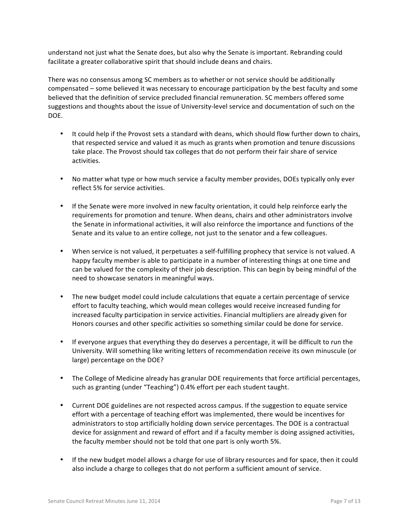understand not just what the Senate does, but also why the Senate is important. Rebranding could facilitate a greater collaborative spirit that should include deans and chairs.

There was no consensus among SC members as to whether or not service should be additionally compensated – some believed it was necessary to encourage participation by the best faculty and some believed that the definition of service precluded financial remuneration. SC members offered some suggestions and thoughts about the issue of University-level service and documentation of such on the DOE.

- It could help if the Provost sets a standard with deans, which should flow further down to chairs, that respected service and valued it as much as grants when promotion and tenure discussions take place. The Provost should tax colleges that do not perform their fair share of service activities.
- No matter what type or how much service a faculty member provides, DOEs typically only ever reflect 5% for service activities.
- If the Senate were more involved in new faculty orientation, it could help reinforce early the requirements for promotion and tenure. When deans, chairs and other administrators involve the Senate in informational activities, it will also reinforce the importance and functions of the Senate and its value to an entire college, not just to the senator and a few colleagues.
- When service is not valued, it perpetuates a self-fulfilling prophecy that service is not valued. A happy faculty member is able to participate in a number of interesting things at one time and can be valued for the complexity of their job description. This can begin by being mindful of the need to showcase senators in meaningful ways.
- The new budget model could include calculations that equate a certain percentage of service effort to faculty teaching, which would mean colleges would receive increased funding for increased faculty participation in service activities. Financial multipliers are already given for Honors courses and other specific activities so something similar could be done for service.
- If everyone argues that everything they do deserves a percentage, it will be difficult to run the University. Will something like writing letters of recommendation receive its own minuscule (or large) percentage on the DOE?
- The College of Medicine already has granular DOE requirements that force artificial percentages, such as granting (under "Teaching") 0.4% effort per each student taught.
- Current DOE guidelines are not respected across campus. If the suggestion to equate service effort with a percentage of teaching effort was implemented, there would be incentives for administrators to stop artificially holding down service percentages. The DOE is a contractual device for assignment and reward of effort and if a faculty member is doing assigned activities, the faculty member should not be told that one part is only worth 5%.
- If the new budget model allows a charge for use of library resources and for space, then it could also include a charge to colleges that do not perform a sufficient amount of service.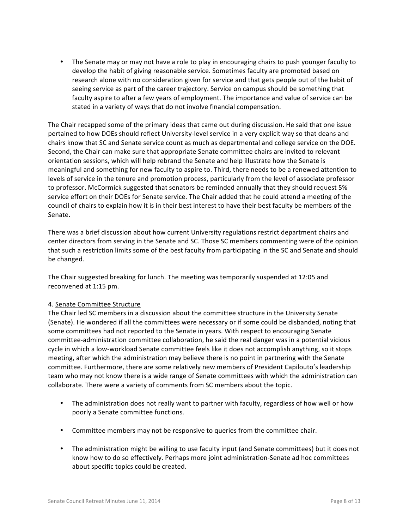The Senate may or may not have a role to play in encouraging chairs to push younger faculty to develop the habit of giving reasonable service. Sometimes faculty are promoted based on research alone with no consideration given for service and that gets people out of the habit of seeing service as part of the career trajectory. Service on campus should be something that faculty aspire to after a few years of employment. The importance and value of service can be stated in a variety of ways that do not involve financial compensation.

The Chair recapped some of the primary ideas that came out during discussion. He said that one issue pertained to how DOEs should reflect University-level service in a very explicit way so that deans and chairs know that SC and Senate service count as much as departmental and college service on the DOE. Second, the Chair can make sure that appropriate Senate committee chairs are invited to relevant orientation sessions, which will help rebrand the Senate and help illustrate how the Senate is meaningful and something for new faculty to aspire to. Third, there needs to be a renewed attention to levels of service in the tenure and promotion process, particularly from the level of associate professor to professor. McCormick suggested that senators be reminded annually that they should request 5% service effort on their DOEs for Senate service. The Chair added that he could attend a meeting of the council of chairs to explain how it is in their best interest to have their best faculty be members of the Senate. 

There was a brief discussion about how current University regulations restrict department chairs and center directors from serving in the Senate and SC. Those SC members commenting were of the opinion that such a restriction limits some of the best faculty from participating in the SC and Senate and should be changed.

The Chair suggested breaking for lunch. The meeting was temporarily suspended at 12:05 and reconvened at 1:15 pm.

# 4. Senate Committee Structure

The Chair led SC members in a discussion about the committee structure in the University Senate (Senate). He wondered if all the committees were necessary or if some could be disbanded, noting that some committees had not reported to the Senate in years. With respect to encouraging Senate committee-administration committee collaboration, he said the real danger was in a potential vicious cycle in which a low-workload Senate committee feels like it does not accomplish anything, so it stops meeting, after which the administration may believe there is no point in partnering with the Senate committee. Furthermore, there are some relatively new members of President Capilouto's leadership team who may not know there is a wide range of Senate committees with which the administration can collaborate. There were a variety of comments from SC members about the topic.

- The administration does not really want to partner with faculty, regardless of how well or how poorly a Senate committee functions.
- Committee members may not be responsive to queries from the committee chair.
- The administration might be willing to use faculty input (and Senate committees) but it does not know how to do so effectively. Perhaps more joint administration-Senate ad hoc committees about specific topics could be created.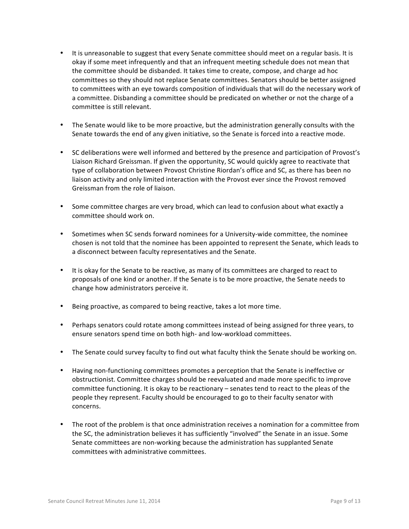- It is unreasonable to suggest that every Senate committee should meet on a regular basis. It is okay if some meet infrequently and that an infrequent meeting schedule does not mean that the committee should be disbanded. It takes time to create, compose, and charge ad hoc committees so they should not replace Senate committees. Senators should be better assigned to committees with an eye towards composition of individuals that will do the necessary work of a committee. Disbanding a committee should be predicated on whether or not the charge of a committee is still relevant.
- The Senate would like to be more proactive, but the administration generally consults with the Senate towards the end of any given initiative, so the Senate is forced into a reactive mode.
- SC deliberations were well informed and bettered by the presence and participation of Provost's Liaison Richard Greissman. If given the opportunity, SC would quickly agree to reactivate that type of collaboration between Provost Christine Riordan's office and SC, as there has been no liaison activity and only limited interaction with the Provost ever since the Provost removed Greissman from the role of liaison.
- Some committee charges are very broad, which can lead to confusion about what exactly a committee should work on.
- Sometimes when SC sends forward nominees for a University-wide committee, the nominee chosen is not told that the nominee has been appointed to represent the Senate, which leads to a disconnect between faculty representatives and the Senate.
- It is okay for the Senate to be reactive, as many of its committees are charged to react to proposals of one kind or another. If the Senate is to be more proactive, the Senate needs to change how administrators perceive it.
- Being proactive, as compared to being reactive, takes a lot more time.
- Perhaps senators could rotate among committees instead of being assigned for three years, to ensure senators spend time on both high- and low-workload committees.
- The Senate could survey faculty to find out what faculty think the Senate should be working on.
- Having non-functioning committees promotes a perception that the Senate is ineffective or obstructionist. Committee charges should be reevaluated and made more specific to improve committee functioning. It is okay to be reactionary – senates tend to react to the pleas of the people they represent. Faculty should be encouraged to go to their faculty senator with concerns.
- The root of the problem is that once administration receives a nomination for a committee from the SC, the administration believes it has sufficiently "involved" the Senate in an issue. Some Senate committees are non-working because the administration has supplanted Senate committees with administrative committees.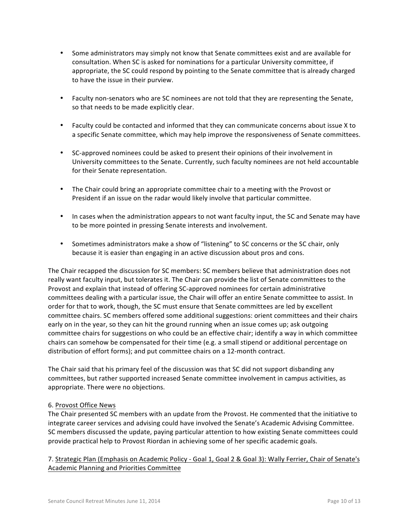- Some administrators may simply not know that Senate committees exist and are available for consultation. When SC is asked for nominations for a particular University committee, if appropriate, the SC could respond by pointing to the Senate committee that is already charged to have the issue in their purview.
- Faculty non-senators who are SC nominees are not told that they are representing the Senate, so that needs to be made explicitly clear.
- Faculty could be contacted and informed that they can communicate concerns about issue X to a specific Senate committee, which may help improve the responsiveness of Senate committees.
- SC-approved nominees could be asked to present their opinions of their involvement in University committees to the Senate. Currently, such faculty nominees are not held accountable for their Senate representation.
- The Chair could bring an appropriate committee chair to a meeting with the Provost or President if an issue on the radar would likely involve that particular committee.
- In cases when the administration appears to not want faculty input, the SC and Senate may have to be more pointed in pressing Senate interests and involvement.
- Sometimes administrators make a show of "listening" to SC concerns or the SC chair, only because it is easier than engaging in an active discussion about pros and cons.

The Chair recapped the discussion for SC members: SC members believe that administration does not really want faculty input, but tolerates it. The Chair can provide the list of Senate committees to the Provost and explain that instead of offering SC-approved nominees for certain administrative committees dealing with a particular issue, the Chair will offer an entire Senate committee to assist. In order for that to work, though, the SC must ensure that Senate committees are led by excellent committee chairs. SC members offered some additional suggestions: orient committees and their chairs early on in the year, so they can hit the ground running when an issue comes up; ask outgoing committee chairs for suggestions on who could be an effective chair; identify a way in which committee chairs can somehow be compensated for their time (e.g. a small stipend or additional percentage on distribution of effort forms); and put committee chairs on a 12-month contract.

The Chair said that his primary feel of the discussion was that SC did not support disbanding any committees, but rather supported increased Senate committee involvement in campus activities, as appropriate. There were no objections.

# 6. Provost Office News

The Chair presented SC members with an update from the Provost. He commented that the initiative to integrate career services and advising could have involved the Senate's Academic Advising Committee. SC members discussed the update, paying particular attention to how existing Senate committees could provide practical help to Provost Riordan in achieving some of her specific academic goals.

7. Strategic Plan (Emphasis on Academic Policy - Goal 1, Goal 2 & Goal 3): Wally Ferrier, Chair of Senate's Academic Planning and Priorities Committee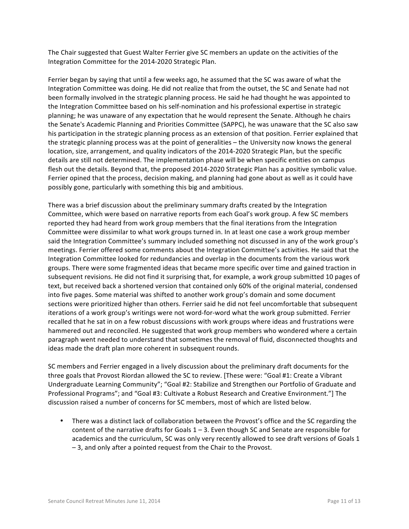The Chair suggested that Guest Walter Ferrier give SC members an update on the activities of the Integration Committee for the 2014-2020 Strategic Plan.

Ferrier began by saying that until a few weeks ago, he assumed that the SC was aware of what the Integration Committee was doing. He did not realize that from the outset, the SC and Senate had not been formally involved in the strategic planning process. He said he had thought he was appointed to the Integration Committee based on his self-nomination and his professional expertise in strategic planning; he was unaware of any expectation that he would represent the Senate. Although he chairs the Senate's Academic Planning and Priorities Committee (SAPPC), he was unaware that the SC also saw his participation in the strategic planning process as an extension of that position. Ferrier explained that the strategic planning process was at the point of generalities – the University now knows the general location, size, arrangement, and quality indicators of the 2014-2020 Strategic Plan, but the specific details are still not determined. The implementation phase will be when specific entities on campus flesh out the details. Beyond that, the proposed 2014-2020 Strategic Plan has a positive symbolic value. Ferrier opined that the process, decision making, and planning had gone about as well as it could have possibly gone, particularly with something this big and ambitious.

There was a brief discussion about the preliminary summary drafts created by the Integration Committee, which were based on narrative reports from each Goal's work group. A few SC members reported they had heard from work group members that the final iterations from the Integration Committee were dissimilar to what work groups turned in. In at least one case a work group member said the Integration Committee's summary included something not discussed in any of the work group's meetings. Ferrier offered some comments about the Integration Committee's activities. He said that the Integration Committee looked for redundancies and overlap in the documents from the various work groups. There were some fragmented ideas that became more specific over time and gained traction in subsequent revisions. He did not find it surprising that, for example, a work group submitted 10 pages of text, but received back a shortened version that contained only 60% of the original material, condensed into five pages. Some material was shifted to another work group's domain and some document sections were prioritized higher than others. Ferrier said he did not feel uncomfortable that subsequent iterations of a work group's writings were not word-for-word what the work group submitted. Ferrier recalled that he sat in on a few robust discussions with work groups where ideas and frustrations were hammered out and reconciled. He suggested that work group members who wondered where a certain paragraph went needed to understand that sometimes the removal of fluid, disconnected thoughts and ideas made the draft plan more coherent in subsequent rounds.

SC members and Ferrier engaged in a lively discussion about the preliminary draft documents for the three goals that Provost Riordan allowed the SC to review. [These were: "Goal #1: Create a Vibrant Undergraduate Learning Community"; "Goal #2: Stabilize and Strengthen our Portfolio of Graduate and Professional Programs"; and "Goal #3: Cultivate a Robust Research and Creative Environment."] The discussion raised a number of concerns for SC members, most of which are listed below.

There was a distinct lack of collaboration between the Provost's office and the SC regarding the content of the narrative drafts for Goals  $1 - 3$ . Even though SC and Senate are responsible for academics and the curriculum, SC was only very recently allowed to see draft versions of Goals 1  $-3$ , and only after a pointed request from the Chair to the Provost.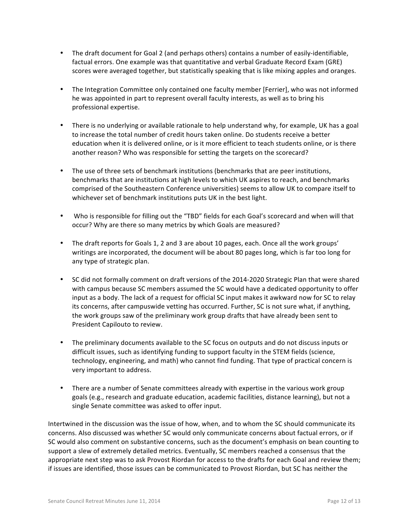- The draft document for Goal 2 (and perhaps others) contains a number of easily-identifiable, factual errors. One example was that quantitative and verbal Graduate Record Exam (GRE) scores were averaged together, but statistically speaking that is like mixing apples and oranges.
- The Integration Committee only contained one faculty member [Ferrier], who was not informed he was appointed in part to represent overall faculty interests, as well as to bring his professional expertise.
- There is no underlying or available rationale to help understand why, for example, UK has a goal to increase the total number of credit hours taken online. Do students receive a better education when it is delivered online, or is it more efficient to teach students online, or is there another reason? Who was responsible for setting the targets on the scorecard?
- The use of three sets of benchmark institutions (benchmarks that are peer institutions, benchmarks that are institutions at high levels to which UK aspires to reach, and benchmarks comprised of the Southeastern Conference universities) seems to allow UK to compare itself to whichever set of benchmark institutions puts UK in the best light.
- Who is responsible for filling out the "TBD" fields for each Goal's scorecard and when will that occur? Why are there so many metrics by which Goals are measured?
- The draft reports for Goals 1, 2 and 3 are about 10 pages, each. Once all the work groups' writings are incorporated, the document will be about 80 pages long, which is far too long for any type of strategic plan.
- SC did not formally comment on draft versions of the 2014-2020 Strategic Plan that were shared with campus because SC members assumed the SC would have a dedicated opportunity to offer input as a body. The lack of a request for official SC input makes it awkward now for SC to relay its concerns, after campuswide vetting has occurred. Further, SC is not sure what, if anything, the work groups saw of the preliminary work group drafts that have already been sent to President Capilouto to review.
- The preliminary documents available to the SC focus on outputs and do not discuss inputs or difficult issues, such as identifying funding to support faculty in the STEM fields (science, technology, engineering, and math) who cannot find funding. That type of practical concern is very important to address.
- There are a number of Senate committees already with expertise in the various work group goals (e.g., research and graduate education, academic facilities, distance learning), but not a single Senate committee was asked to offer input.

Intertwined in the discussion was the issue of how, when, and to whom the SC should communicate its concerns. Also discussed was whether SC would only communicate concerns about factual errors, or if SC would also comment on substantive concerns, such as the document's emphasis on bean counting to support a slew of extremely detailed metrics. Eventually, SC members reached a consensus that the appropriate next step was to ask Provost Riordan for access to the drafts for each Goal and review them; if issues are identified, those issues can be communicated to Provost Riordan, but SC has neither the